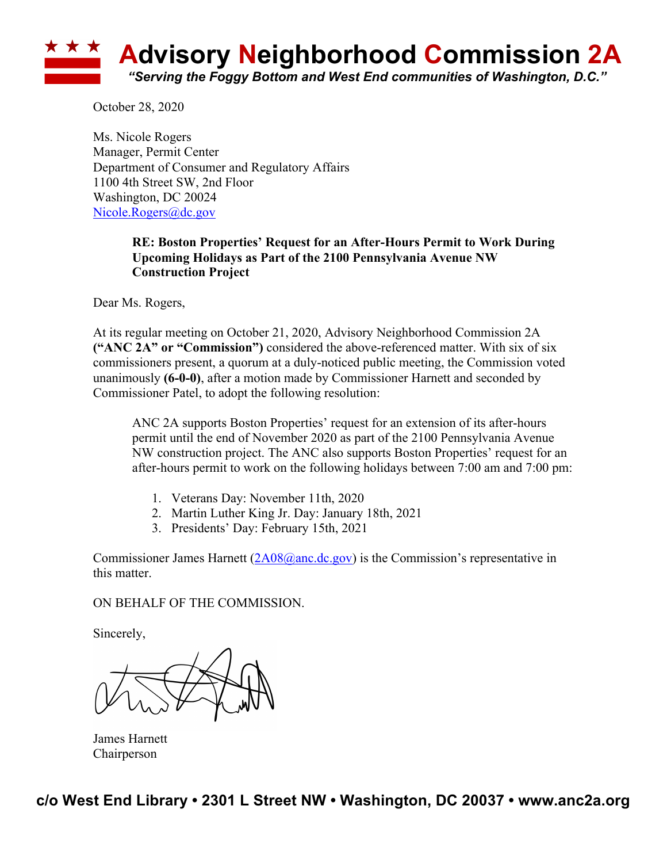

October 28, 2020

Ms. Nicole Rogers Manager, Permit Center Department of Consumer and Regulatory Affairs 1100 4th Street SW, 2nd Floor Washington, DC 20024 Nicole.Rogers@dc.gov

## **RE: Boston Properties' Request for an After-Hours Permit to Work During Upcoming Holidays as Part of the 2100 Pennsylvania Avenue NW Construction Project**

Dear Ms. Rogers,

At its regular meeting on October 21, 2020, Advisory Neighborhood Commission 2A **("ANC 2A" or "Commission")** considered the above-referenced matter. With six of six commissioners present, a quorum at a duly-noticed public meeting, the Commission voted unanimously **(6-0-0)**, after a motion made by Commissioner Harnett and seconded by Commissioner Patel, to adopt the following resolution:

ANC 2A supports Boston Properties' request for an extension of its after-hours permit until the end of November 2020 as part of the 2100 Pennsylvania Avenue NW construction project. The ANC also supports Boston Properties' request for an after-hours permit to work on the following holidays between 7:00 am and 7:00 pm:

- 1. Veterans Day: November 11th, 2020
- 2. Martin Luther King Jr. Day: January 18th, 2021
- 3. Presidents' Day: February 15th, 2021

Commissioner James Harnett  $(2A08@anc,dc.gov)$  is the Commission's representative in this matter.

## ON BEHALF OF THE COMMISSION.

Sincerely,

James Harnett Chairperson